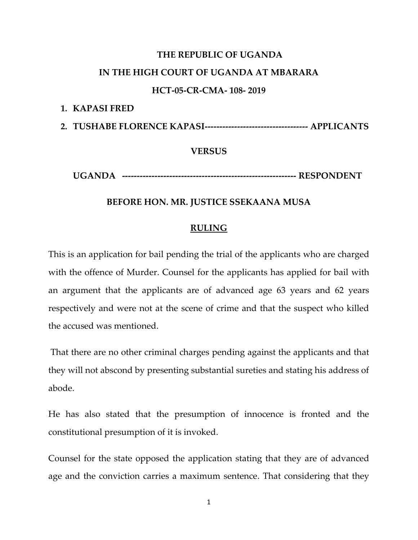# **THE REPUBLIC OF UGANDA**

# **IN THE HIGH COURT OF UGANDA AT MBARARA**

### **HCT-05-CR-CMA- 108- 2019**

**1. KAPASI FRED**

**2. TUSHABE FLORENCE KAPASI----------------------------------- APPLICANTS**

**VERSUS** 

**UGANDA ----------------------------------------------------------- RESPONDENT**

# **BEFORE HON. MR. JUSTICE SSEKAANA MUSA**

### **RULING**

This is an application for bail pending the trial of the applicants who are charged with the offence of Murder. Counsel for the applicants has applied for bail with an argument that the applicants are of advanced age 63 years and 62 years respectively and were not at the scene of crime and that the suspect who killed the accused was mentioned.

That there are no other criminal charges pending against the applicants and that they will not abscond by presenting substantial sureties and stating his address of abode.

He has also stated that the presumption of innocence is fronted and the constitutional presumption of it is invoked.

Counsel for the state opposed the application stating that they are of advanced age and the conviction carries a maximum sentence. That considering that they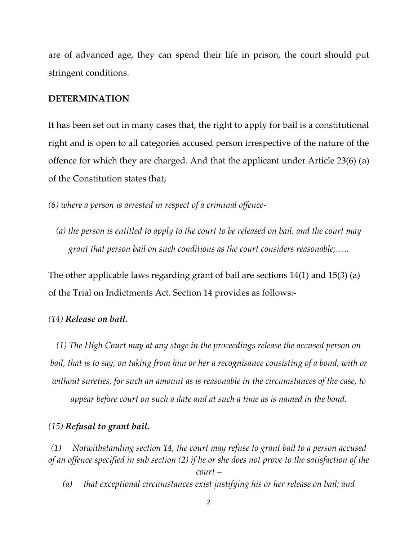are of advanced age, they can spend their life in prison, the court should put stringent conditions.

# **DETERMINATION**

It has been set out in many cases that, the right to apply for bail is a constitutional right and is open to all categories accused person irrespective of the nature of the offence for which they are charged. And that the applicant under Article 23(6) (a) of the Constitution states that;

*(6) where a person is arrested in respect of a criminal offence-*

*(a) the person is entitled to apply to the court to be released on bail, and the court may grant that person bail on such conditions as the court considers reasonable;…..*

The other applicable laws regarding grant of bail are sections 14(1) and 15(3) (a) of the Trial on Indictments Act. Section 14 provides as follows:-

# *(14) Release on bail.*

*(1) The High Court may at any stage in the proceedings release the accused person on bail, that is to say, on taking from him or her a recognisance consisting of a bond, with or without sureties, for such an amount as is reasonable in the circumstances of the case, to appear before court on such a date and at such a time as is named in the bond.*

#### *(15) Refusal to grant bail.*

*(1) Notwithstanding section 14, the court may refuse to grant bail to a person accused of an offence specified in sub section (2) if he or she does not prove to the satisfaction of the* 

*court –*

*(a) that exceptional circumstances exist justifying his or her release on bail; and*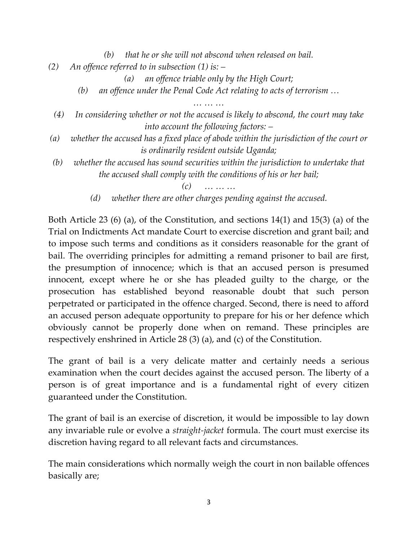*(b) that he or she will not abscond when released on bail.*

*(2) An offence referred to in subsection (1) is: –*

*(a) an offence triable only by the High Court;*

*(b) an offence under the Penal Code Act relating to acts of terrorism …*

*… … …*

- *(4) In considering whether or not the accused is likely to abscond, the court may take into account the following factors: –*
- *(a) whether the accused has a fixed place of abode within the jurisdiction of the court or is ordinarily resident outside Uganda;*
- *(b) whether the accused has sound securities within the jurisdiction to undertake that the accused shall comply with the conditions of his or her bail;*

*(c) … … …*

*(d) whether there are other charges pending against the accused.*

Both Article 23 (6) (a), of the Constitution, and sections 14(1) and 15(3) (a) of the Trial on Indictments Act mandate Court to exercise discretion and grant bail; and to impose such terms and conditions as it considers reasonable for the grant of bail. The overriding principles for admitting a remand prisoner to bail are first, the presumption of innocence; which is that an accused person is presumed innocent, except where he or she has pleaded guilty to the charge, or the prosecution has established beyond reasonable doubt that such person perpetrated or participated in the offence charged. Second, there is need to afford an accused person adequate opportunity to prepare for his or her defence which obviously cannot be properly done when on remand. These principles are respectively enshrined in Article 28 (3) (a), and (c) of the Constitution.

The grant of bail is a very delicate matter and certainly needs a serious examination when the court decides against the accused person. The liberty of a person is of great importance and is a fundamental right of every citizen guaranteed under the Constitution.

The grant of bail is an exercise of discretion, it would be impossible to lay down any invariable rule or evolve a *straight-jacket* formula. The court must exercise its discretion having regard to all relevant facts and circumstances.

The main considerations which normally weigh the court in non bailable offences basically are;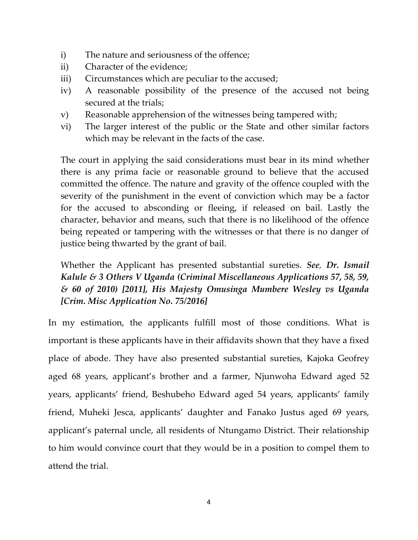- i) The nature and seriousness of the offence;
- ii) Character of the evidence;
- iii) Circumstances which are peculiar to the accused;
- iv) A reasonable possibility of the presence of the accused not being secured at the trials;
- v) Reasonable apprehension of the witnesses being tampered with;
- vi) The larger interest of the public or the State and other similar factors which may be relevant in the facts of the case.

The court in applying the said considerations must bear in its mind whether there is any prima facie or reasonable ground to believe that the accused committed the offence. The nature and gravity of the offence coupled with the severity of the punishment in the event of conviction which may be a factor for the accused to absconding or fleeing, if released on bail. Lastly the character, behavior and means, such that there is no likelihood of the offence being repeated or tampering with the witnesses or that there is no danger of justice being thwarted by the grant of bail.

Whether the Applicant has presented substantial sureties. *See, Dr. Ismail Kalule & 3 Others V Uganda (Criminal Miscellaneous Applications 57, 58, 59, & 60 of 2010) [2011], His Majesty Omusinga Mumbere Wesley vs Uganda [Crim. Misc Application No. 75/2016]*

In my estimation, the applicants fulfill most of those conditions. What is important is these applicants have in their affidavits shown that they have a fixed place of abode. They have also presented substantial sureties, Kajoka Geofrey aged 68 years, applicant's brother and a farmer, Njunwoha Edward aged 52 years, applicants' friend, Beshubeho Edward aged 54 years, applicants' family friend, Muheki Jesca, applicants' daughter and Fanako Justus aged 69 years, applicant's paternal uncle, all residents of Ntungamo District. Their relationship to him would convince court that they would be in a position to compel them to attend the trial.